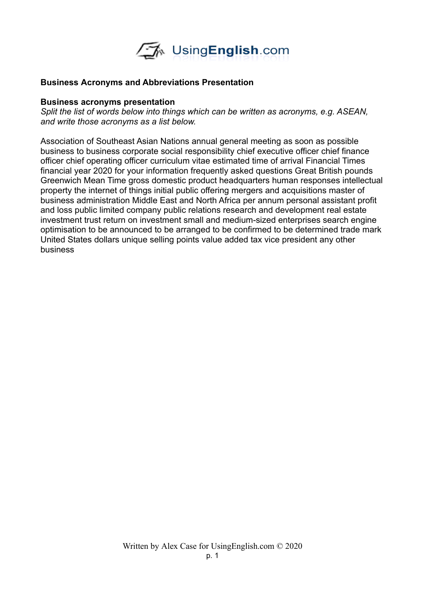

## **Business Acronyms and Abbreviations Presentation**

## **Business acronyms presentation**

*Split the list of words below into things which can be written as acronyms, e.g. ASEAN, and write those acronyms as a list below.* 

Association of Southeast Asian Nations annual general meeting as soon as possible business to business corporate social responsibility chief executive officer chief finance officer chief operating officer curriculum vitae estimated time of arrival Financial Times financial year 2020 for your information frequently asked questions Great British pounds Greenwich Mean Time gross domestic product headquarters human responses intellectual property the internet of things initial public offering mergers and acquisitions master of business administration Middle East and North Africa per annum personal assistant profit and loss public limited company public relations research and development real estate investment trust return on investment small and medium-sized enterprises search engine optimisation to be announced to be arranged to be confirmed to be determined trade mark United States dollars unique selling points value added tax vice president any other business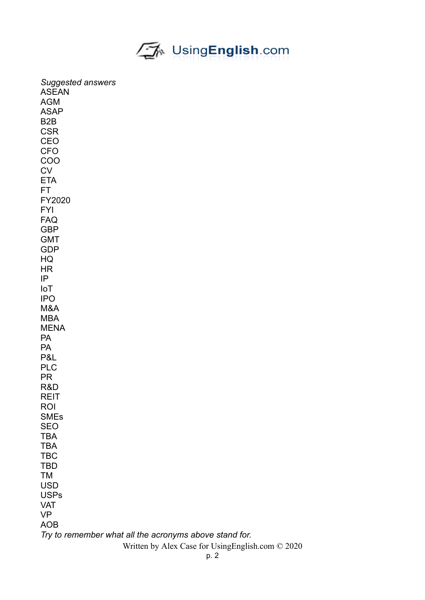

| <b>Suggested answers</b>                               |  |  |
|--------------------------------------------------------|--|--|
| <b>ASEAN</b>                                           |  |  |
| <b>AGM</b>                                             |  |  |
| <b>ASAP</b>                                            |  |  |
| B <sub>2</sub> B                                       |  |  |
| <b>CSR</b>                                             |  |  |
| CEO                                                    |  |  |
| <b>CFO</b>                                             |  |  |
| COO                                                    |  |  |
| <b>CV</b>                                              |  |  |
| <b>ETA</b>                                             |  |  |
| <b>FT</b>                                              |  |  |
| FY2020                                                 |  |  |
| <b>FYI</b>                                             |  |  |
| <b>FAQ</b>                                             |  |  |
| <b>GBP</b>                                             |  |  |
| <b>GMT</b>                                             |  |  |
| <b>GDP</b>                                             |  |  |
| HQ                                                     |  |  |
| <b>HR</b>                                              |  |  |
| IP                                                     |  |  |
| IoT                                                    |  |  |
| <b>IPO</b>                                             |  |  |
| M&A                                                    |  |  |
| <b>MBA</b>                                             |  |  |
| <b>MENA</b>                                            |  |  |
| <b>PA</b>                                              |  |  |
| PA                                                     |  |  |
| P&L                                                    |  |  |
| <b>PLC</b>                                             |  |  |
| <b>PR</b>                                              |  |  |
| R&D                                                    |  |  |
| <b>REIT</b><br><b>ROI</b>                              |  |  |
| <b>SMEs</b>                                            |  |  |
| <b>SEO</b>                                             |  |  |
| <b>TBA</b>                                             |  |  |
| <b>TBA</b>                                             |  |  |
| <b>TBC</b>                                             |  |  |
| <b>TBD</b>                                             |  |  |
| <b>TM</b>                                              |  |  |
| <b>USD</b>                                             |  |  |
| <b>USPs</b>                                            |  |  |
| <b>VAT</b>                                             |  |  |
| <b>VP</b>                                              |  |  |
| <b>AOB</b>                                             |  |  |
| Try to remember what all the acronyms above stand for. |  |  |
| Written by Alex Case for UsingEnglish.com © 2020       |  |  |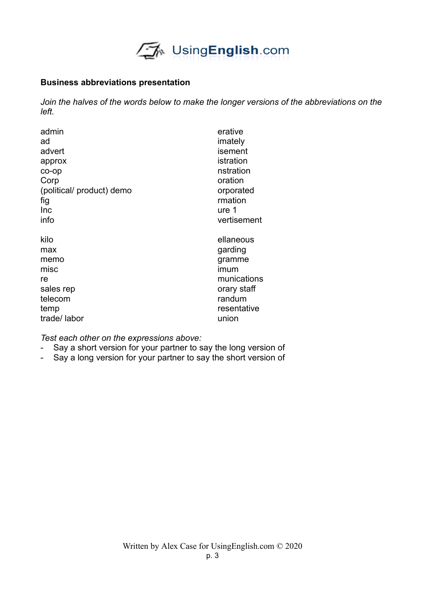

## **Business abbreviations presentation**

*Join the halves of the words below to make the longer versions of the abbreviations on the left.* 

| admin                     | erative     |
|---------------------------|-------------|
| ad                        | imately     |
| advert                    | isement     |
| approx                    | istration   |
| co-op                     | nstration   |
| Corp                      | oration     |
| (political/ product) demo | orporated   |
| fig                       | rmation     |
| Inc                       | ure 1       |
| info                      | vertisement |
| kilo                      | ellaneous   |
| max                       | garding     |
| memo                      | gramme      |
| misc                      | imum        |
| re                        | munications |
| sales rep                 | orary staff |
| telecom                   | randum      |
| temp                      | resentative |
| trade/labor               | union       |

*Test each other on the expressions above:*

- Say a short version for your partner to say the long version of
- Say a long version for your partner to say the short version of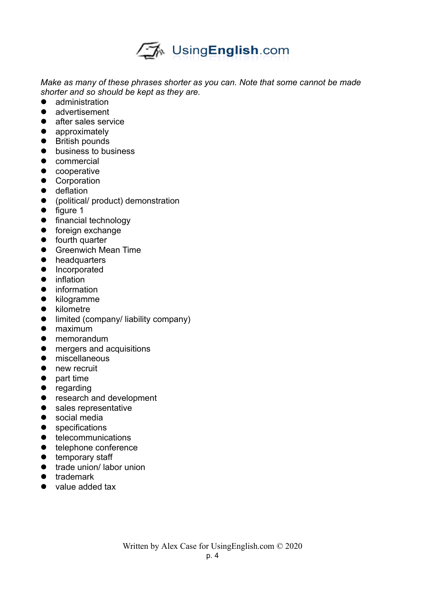

*Make as many of these phrases shorter as you can. Note that some cannot be made shorter and so should be kept as they are.* 

- administration
- advertisement
- **•** after sales service
- **•** approximately
- British pounds
- **•** business to business
- **•** commercial
- cooperative
- **•** Corporation
- **•** deflation
- (political/ product) demonstration
- $\bullet$  figure 1
- **•** financial technology
- **•** foreign exchange
- **•** fourth quarter
- **•** Greenwich Mean Time
- **•** headquarters
- **•** Incorporated
- **•** inflation
- **•** information
- kilogramme
- kilometre
- **•** limited (company/ liability company)
- maximum
- memorandum
- **•** mergers and acquisitions
- **•** miscellaneous
- new recruit
- $\bullet$  part time
- regarding
- research and development
- sales representative
- social media
- **•** specifications
- **•** telecommunications
- **•** telephone conference
- **•** temporary staff
- trade union/ labor union
- **•** trademark
- value added tax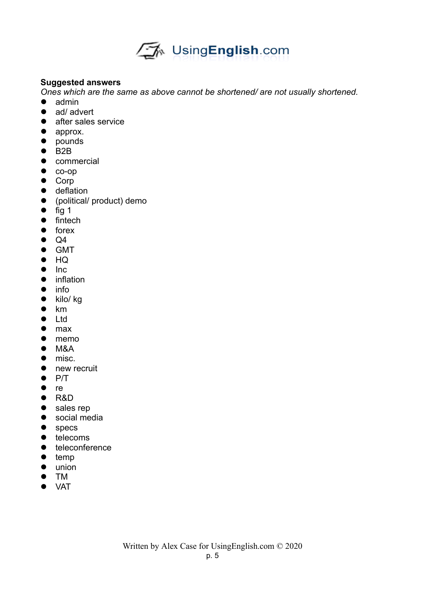

## **Suggested answers**

*Ones which are the same as above cannot be shortened/ are not usually shortened.* 

- admin
- ad/ advert
- **after sales service**
- approx.
- pounds
- $\bullet$  B2B
- **•** commercial
- $\bullet$  co-op
- Corp
- **•** deflation
- (political/ product) demo
- $\bullet$  fig 1
- $\bullet$  fintech
- $\bullet$  forex
- $\bullet$  Q4
- **•** GMT
- $\bullet$  HQ
- $\bullet$  Inc.
- **•** inflation
- $\bullet$  info
- $\bullet$  kilo/ kg
- $\bullet$  km
- Ltd
- max
- memo
- $OM$
- misc.
- new recruit
- $\bullet$  P/T
- $\bullet$  re
- R&D
- sales rep
- **•** social media
- specs
- $\bullet$  telecoms
- **•** teleconference
- $\bullet$  temp
- union
- TM
- VAT